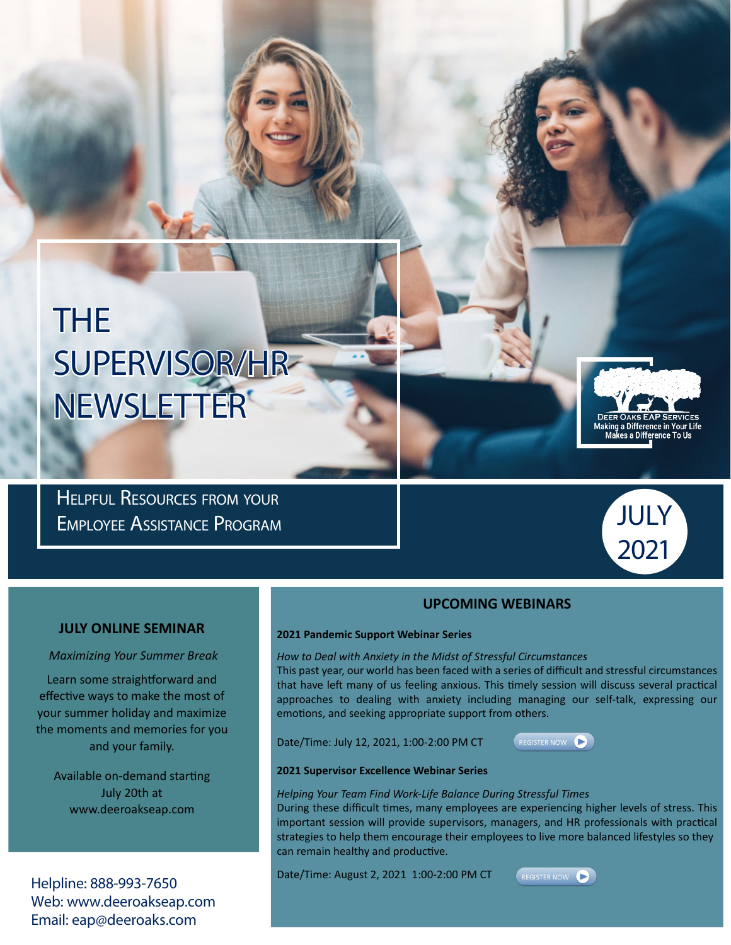# THE SUPERVISOR/HR NEWSLETTER

Helpful Resources from your Employee Assistance Program



**JULY** 

2021

# **UPCOMING WEBINARS**

## **JULY ONLINE SEMINAR**

 *Maximizing Your Summer Break*

Learn some straightforward and effective ways to make the most of your summer holiday and maximize the moments and memories for you and your family.

Available on-demand starting July 20th at www.deeroakseap.com

Helpline: 888-993-7650 Web: www.deeroakseap.com Email: eap@deeroaks.com

#### **2021 Pandemic Support Webinar Series**

*How to Deal with Anxiety in the Midst of Stressful Circumstances*

This past year, our world has been faced with a series of difficult and stressful circumstances that have left many of us feeling anxious. This timely session will discuss several practical approaches to dealing with anxiety including managing our self-talk, expressing our emotions, and seeking appropriate support from others.

Date/Time: July 12, 2021, 1:00-2:00 PM CT



### **2021 Supervisor Excellence Webinar Series**

*Helping Your Team Find Work-Life Balance During Stressful Times*

During these difficult times, many employees are experiencing higher levels of stress. This important session will provide supervisors, managers, and HR professionals with practical strategies to help them encourage their employees to live more balanced lifestyles so they can remain healthy and productive.

Date/Time: August 2, 2021 1:00-2:00 PM CT

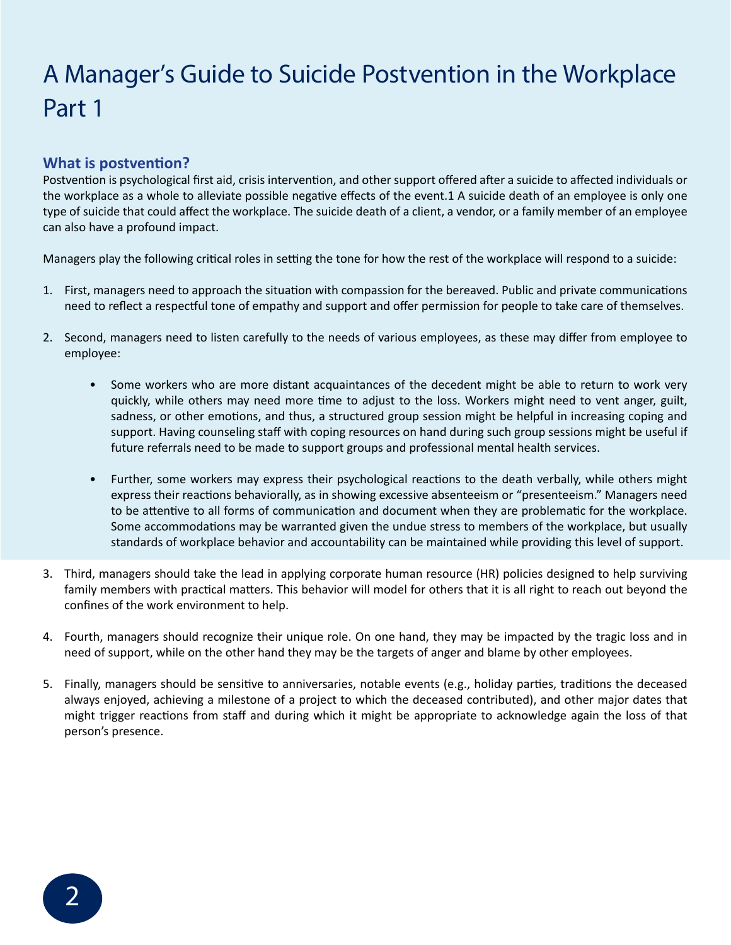# A Manager's Guide to Suicide Postvention in the Workplace Part 1

# **What is postvention?**

Postvention is psychological first aid, crisis intervention, and other support offered after a suicide to affected individuals or the workplace as a whole to alleviate possible negative effects of the event.1 A suicide death of an employee is only one type of suicide that could affect the workplace. The suicide death of a client, a vendor, or a family member of an employee can also have a profound impact.

Managers play the following critical roles in setting the tone for how the rest of the workplace will respond to a suicide:

- 1. First, managers need to approach the situation with compassion for the bereaved. Public and private communications need to reflect a respectful tone of empathy and support and offer permission for people to take care of themselves.
- 2. Second, managers need to listen carefully to the needs of various employees, as these may differ from employee to employee:
	- Some workers who are more distant acquaintances of the decedent might be able to return to work very quickly, while others may need more time to adjust to the loss. Workers might need to vent anger, guilt, sadness, or other emotions, and thus, a structured group session might be helpful in increasing coping and support. Having counseling staff with coping resources on hand during such group sessions might be useful if future referrals need to be made to support groups and professional mental health services.
	- Further, some workers may express their psychological reactions to the death verbally, while others might express their reactions behaviorally, as in showing excessive absenteeism or "presenteeism." Managers need to be attentive to all forms of communication and document when they are problematic for the workplace. Some accommodations may be warranted given the undue stress to members of the workplace, but usually standards of workplace behavior and accountability can be maintained while providing this level of support.
- 3. Third, managers should take the lead in applying corporate human resource (HR) policies designed to help surviving family members with practical matters. This behavior will model for others that it is all right to reach out beyond the confines of the work environment to help.
- 4. Fourth, managers should recognize their unique role. On one hand, they may be impacted by the tragic loss and in need of support, while on the other hand they may be the targets of anger and blame by other employees.
- 5. Finally, managers should be sensitive to anniversaries, notable events (e.g., holiday parties, traditions the deceased always enjoyed, achieving a milestone of a project to which the deceased contributed), and other major dates that might trigger reactions from staff and during which it might be appropriate to acknowledge again the loss of that person's presence.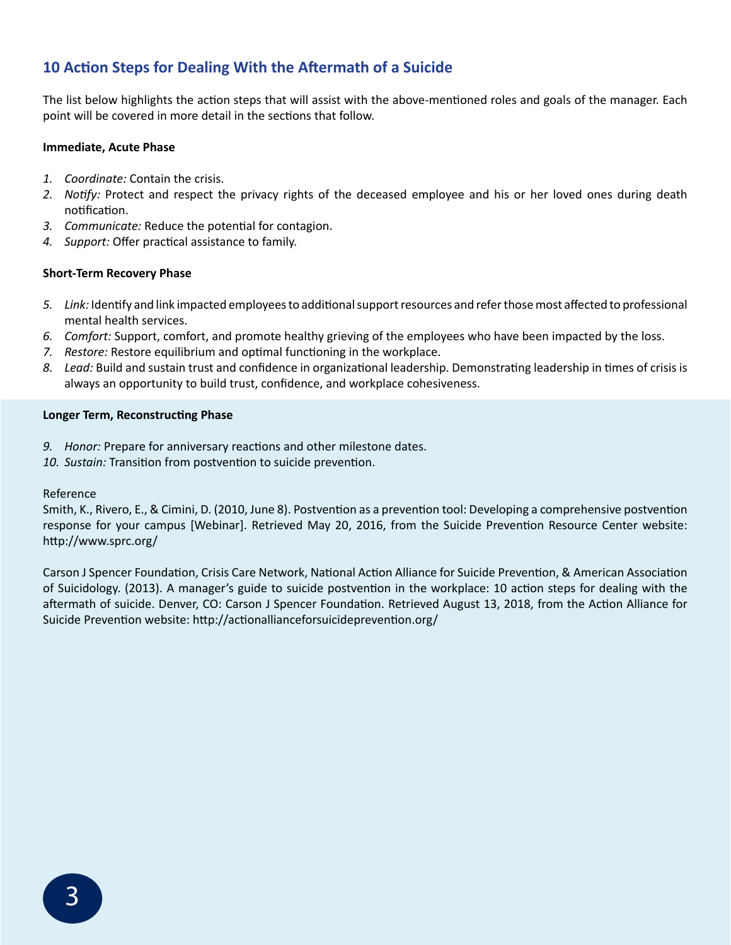# **10 Action Steps for Dealing With the Aftermath of a Suicide**

The list below highlights the action steps that will assist with the above-mentioned roles and goals of the manager. Each point will be covered in more detail in the sections that follow.

# **Immediate, Acute Phase**

- *1. Coordinate:* Contain the crisis.
- *2. Notify:* Protect and respect the privacy rights of the deceased employee and his or her loved ones during death notification.
- *3. Communicate:* Reduce the potential for contagion.
- *4. Support:* Offer practical assistance to family.

# **Short-Term Recovery Phase**

- *5. Link:* Identify and link impacted employees to additional support resources and refer those most affected to professional mental health services.
- *6. Comfort:* Support, comfort, and promote healthy grieving of the employees who have been impacted by the loss.
- *7. Restore:* Restore equilibrium and optimal functioning in the workplace.
- *8. Lead:* Build and sustain trust and confidence in organizational leadership. Demonstrating leadership in times of crisis is always an opportunity to build trust, confidence, and workplace cohesiveness.

## **Longer Term, Reconstructing Phase**

- *9. Honor:* Prepare for anniversary reactions and other milestone dates.
- *10. Sustain:* Transition from postvention to suicide prevention.

## Reference

Smith, K., Rivero, E., & Cimini, D. (2010, June 8). Postvention as a prevention tool: Developing a comprehensive postvention response for your campus [Webinar]. Retrieved May 20, 2016, from the Suicide Prevention Resource Center website: http://www.sprc.org/

Carson J Spencer Foundation, Crisis Care Network, National Action Alliance for Suicide Prevention, & American Association of Suicidology. (2013). A manager's guide to suicide postvention in the workplace: 10 action steps for dealing with the aftermath of suicide. Denver, CO: Carson J Spencer Foundation. Retrieved August 13, 2018, from the Action Alliance for Suicide Prevention website: http://actionallianceforsuicideprevention.org/